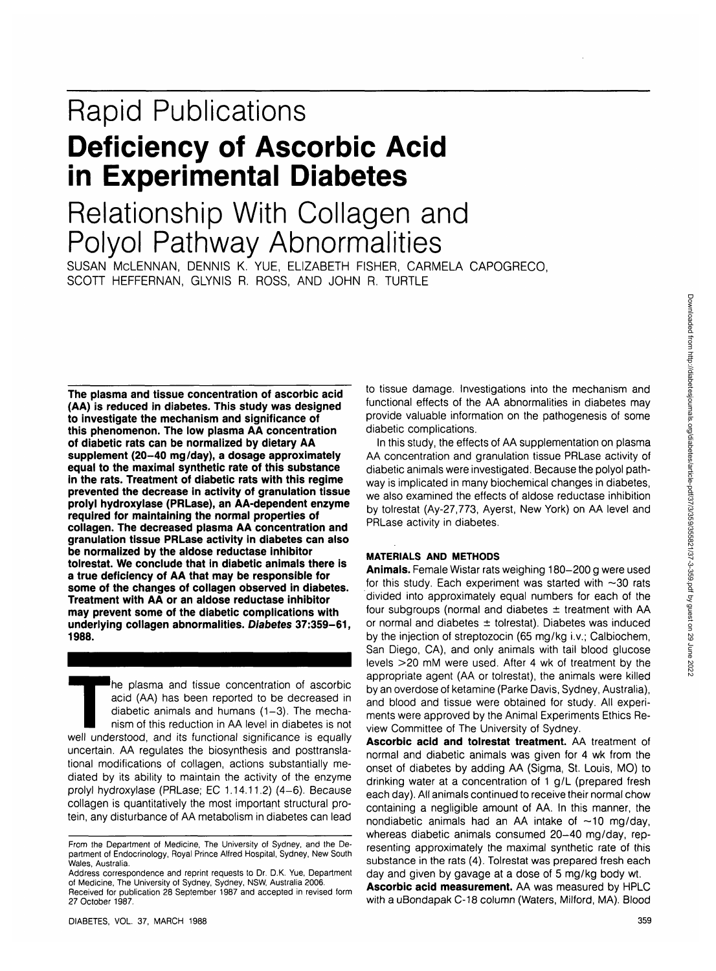# Rapid Publications **Deficiency of Ascorbic Acid in Experimental Diabetes**

# Relationship With Collagen and Polyol Pathway Abnormalities

SUSAN McLENNAN, DENNIS K. YUE, ELIZABETH FISHER, CARMELA CAPOGRECO, SCOTT HEFFERNAN, GLYNIS R. ROSS, AND JOHN R. TURTLE

**The plasma and tissue concentration of ascorbic acid (AA) is reduced in diabetes. This study was designed to investigate the mechanism and significance of this phenomenon. The low plasma AA concentration of diabetic rats can be normalized by dietary AA supplement (20-40 mg/day), a dosage approximately equal to the maximal synthetic rate of this substance in the rats. Treatment of diabetic rats with this regime prevented the decrease in activity of granulation tissue prolyl hydroxylase (PRLase), an AA-dependent enzyme required for maintaining the normal properties of collagen. The decreased plasma AA concentration and granulation tissue PRLase activity in diabetes can also be normalized by the aldose reductase inhibitor tolrestat. We conclude that in diabetic animals there is a true deficiency of AA that may be responsible for some of the changes of collagen observed in diabetes. Treatment with AA or an aldose reductase inhibitor may prevent some of the diabetic complications with underlying collagen abnormalities. Diabetes 37:359-61, 1988.**

The plasma and tissue concentration of ascorbic<br>acid (AA) has been reported to be decreased in<br>diabetic animals and humans (1–3). The mecha-<br>nism of this reduction in AA level in diabetes is not<br>well understood, and its fu acid (AA) has been reported to be decreased in diabetic animals and humans  $(1-3)$ . The mechanism of this reduction in AA level in diabetes is not uncertain. AA regulates the biosynthesis and posttranslational modifications of collagen, actions substantially mediated by its ability to maintain the activity of the enzyme prolyl hydroxylase (PRLase; EC 1.14.11.2) (4-6). Because collagen is quantitatively the most important structural protein, any disturbance of AA metabolism in diabetes can lead to tissue damage. Investigations into the mechanism and functional effects of the AA abnormalities in diabetes may provide valuable information on the pathogenesis of some diabetic complications.

In this study, the effects of AA supplementation on plasma AA concentration and granulation tissue PRLase activity of diabetic animals were investigated. Because the polyol pathway is implicated in many biochemical changes in diabetes, we also examined the effects of aldose reductase inhibition by tolrestat (Ay-27,773, Ayerst, New York) on AA level and PRLase activity in diabetes.

### **MATERIALS AND METHODS**

**Animals.** Female Wistar rats weighing 180-200 g were used for this study. Each experiment was started with  $\sim$ 30 rats divided into approximately equal numbers for each of the four subgroups (normal and diabetes  $\pm$  treatment with AA or normal and diabetes  $\pm$  tolrestat). Diabetes was induced by the injection of streptozocin (65 mg/kg i.v.; Calbiochem, San Diego, CA), and only animals with tail blood glucose levels >20 mM were used. After 4 wk of treatment by the appropriate agent (AA or tolrestat), the animals were killed by an overdose of ketamine (Parke Davis, Sydney, Australia), and blood and tissue were obtained for study. All experiments were approved by the Animal Experiments Ethics Review Committee of The University of Sydney.

**Ascorbic acid and tolrestat treatment.** AA treatment of normal and diabetic animals was given for 4 wk from the onset of diabetes by adding AA (Sigma, St. Louis, MO) to drinking water at a concentration of 1 g/L (prepared fresh each day). All animals continued to receive their normal chow containing a negligible amount of AA. In this manner, the nondiabetic animals had an AA intake of  $\sim$ 10 mg/day, whereas diabetic animals consumed 20-40 mg/day, representing approximately the maximal synthetic rate of this substance in the rats (4). Tolrestat was prepared fresh each day and given by gavage at a dose of 5 mg/kg body wt.

**Ascorbic acid measurement.** AA was measured by HPLC with a uBondapak C-18 column (Waters, Milford, MA). Blood

From the Department of Medicine, The University of Sydney, and the Department of Endocrinology, Royal Prince Alfred Hospital, Sydney, New South Wales, Australia.

Address correspondence and reprint requests to Dr. D.K. Yue, Department of Medicine, The University of Sydney, Sydney, NSW, Australia 2006.

Received for publication 28 September 1987 and accepted in revised form 27 October 1987.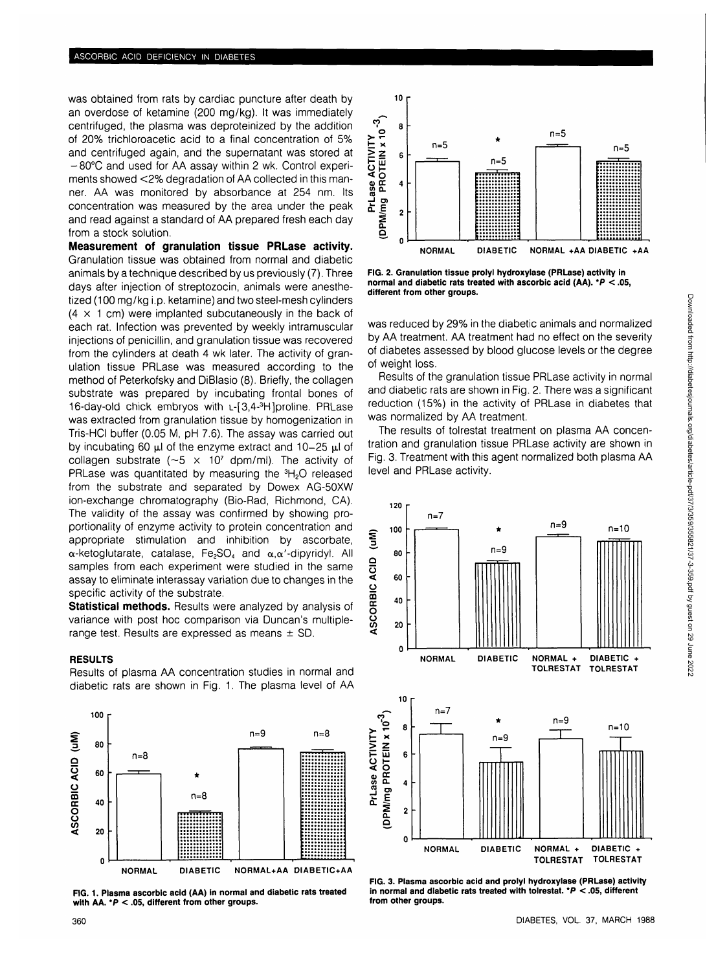was obtained from rats by cardiac puncture after death by an overdose of ketamine (200 mg/kg). It was immediately centrifuged, the plasma was deproteinized by the addition of 20% trichloroacetic acid to a final concentration of 5% and centrifuged again, and the supernatant was stored at -80°C and used for AA assay within 2 wk. Control experiments showed <2% degradation of AA collected in this manner. AA was monitored by absorbance at 254 nm. Its concentration was measured by the area under the peak and read against a standard of AA prepared fresh each day from a stock solution.

**Measurement of granulation tissue PRLase activity.** Granulation tissue was obtained from normal and diabetic animals by a technique described by us previously (7). Three days after injection of streptozocin, animals were anesthetized (100 mg/kg i.p. ketamine) and two steel-mesh cylinders  $(4 \times 1 \text{ cm})$  were implanted subcutaneously in the back of each rat. Infection was prevented by weekly intramuscular injections of penicillin, and granulation tissue was recovered from the cylinders at death 4 wk later. The activity of granulation tissue PRLase was measured according to the method of Peterkofsky and DiBlasio (8). Briefly, the collagen substrate was prepared by incubating frontal bones of 16-day-old chick embryos with L-[3,4-<sup>3</sup>H]proline. PRLase was extracted from granulation tissue by homogenization in Tris-HCI buffer (0.05 M, pH 7.6). The assay was carried out by incubating 60  $\mu$ l of the enzyme extract and 10-25  $\mu$ l of  $\frac{1}{2}$  collagen substrate ( $\approx$ 5  $\times$  10<sup>7</sup> dpm/ml). The activity of PRLase was quantitated by measuring the  ${}^{3}H_{2}O$  released from the substrate and separated by Dowex AG-50XW ion-exchange chromatography (Bio-Rad, Richmond, CA). The validity of the assay was confirmed by showing proportionality of enzyme activity to protein concentration and appropriate stimulation and inhibition by ascorbate,  $\alpha$ -ketoglutarate, catalase, Fe<sub>2</sub>SO<sub>4</sub> and  $\alpha, \alpha'$ -dipyridyl. All samples from each experiment were studied in the same assay to eliminate interassay variation due to changes in the specific activity of the substrate.

**Statistical methods.** Results were analyzed by analysis of variance with post hoc comparison via Duncan's multiplerange test. Results are expressed as means  $\pm$  SD.

#### **RESULTS**

Results of plasma AA concentration studies in normal and diabetic rats are shown in Fig. 1. The plasma level of AA



**FIG. 1. Plasma ascorbic acid (AA) in normal and diabetic rats treated with AA. \*P < .05, different from other groups.**



**FIG. 2. Granulation tissue prolyl hydroxylase (PRLase) activity in normal and diabetic rats treated with ascorbic acid (AA). \*P < .05, different from other groups.**

was reduced by 29% in the diabetic animals and normalized by AA treatment. AA treatment had no effect on the severity of diabetes assessed by blood glucose levels or the degree of weight loss.

Results of the granulation tissue PRLase activity in normal and diabetic rats are shown in Fig. 2. There was a significant reduction (15%) in the activity of PRLase in diabetes that was normalized by AA treatment.

The results of tolrestat treatment on plasma AA concentration and granulation tissue PRLase activity are shown in Fig. 3. Treatment with this agent normalized both plasma AA level and PRLase activity.



**FIG. 3. Plasma ascorbic acid and prolyl hydroxylase (PRLase) activity in normal and diabetic rats treated with tolrestat. \*P < .05, different from other groups.**